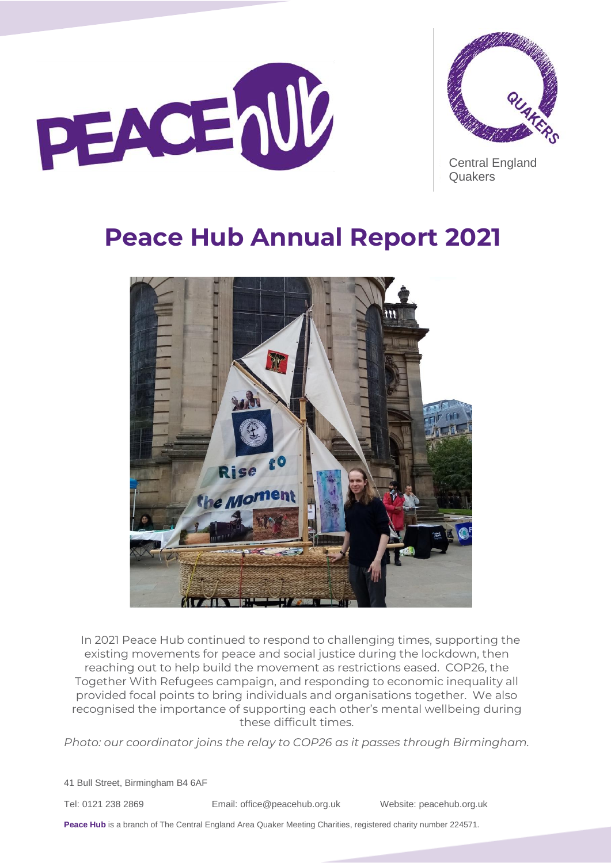



Central England **Quakers** 

# **Peace Hub Annual Report 2021**



In 2021 Peace Hub continued to respond to challenging times, supporting the existing movements for peace and social justice during the lockdown, then reaching out to help build the movement as restrictions eased. COP26, the Together With Refugees campaign, and responding to economic inequality all provided focal points to bring individuals and organisations together. We also recognised the importance of supporting each other's mental wellbeing during these difficult times.

*Photo: our coordinator joins the relay to COP26 as it passes through Birmingham.*

41 Bull Street, Birmingham B4 6AF

Tel: 0121 238 2869 Email: [office@peacehub.org.uk](mailto:office@peacehub.org.uk) Website: peacehub.org.uk

Peace Hub is a branch of The Central England Area Quaker Meeting Charities, registered charity number 224571.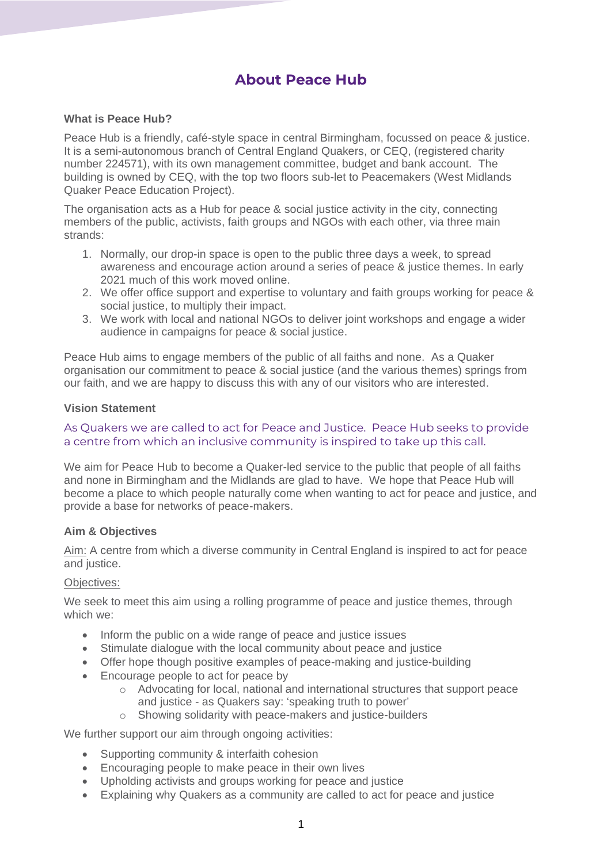# **About Peace Hub**

## **What is Peace Hub?**

Peace Hub is a friendly, café-style space in central Birmingham, focussed on peace & justice. It is a semi-autonomous branch of Central England Quakers, or CEQ, (registered charity number 224571), with its own management committee, budget and bank account. The building is owned by CEQ, with the top two floors sub-let to Peacemakers (West Midlands Quaker Peace Education Project).

The organisation acts as a Hub for peace & social justice activity in the city, connecting members of the public, activists, faith groups and NGOs with each other, via three main strands:

- 1. Normally, our drop-in space is open to the public three days a week, to spread awareness and encourage action around a series of peace & justice themes. In early 2021 much of this work moved online.
- 2. We offer office support and expertise to voluntary and faith groups working for peace & social justice, to multiply their impact.
- 3. We work with local and national NGOs to deliver joint workshops and engage a wider audience in campaigns for peace & social justice.

Peace Hub aims to engage members of the public of all faiths and none. As a Quaker organisation our commitment to peace & social justice (and the various themes) springs from our faith, and we are happy to discuss this with any of our visitors who are interested.

## **Vision Statement**

## As Quakers we are called to act for Peace and Justice. Peace Hub seeks to provide a centre from which an inclusive community is inspired to take up this call.

We aim for Peace Hub to become a Quaker-led service to the public that people of all faiths and none in Birmingham and the Midlands are glad to have. We hope that Peace Hub will become a place to which people naturally come when wanting to act for peace and justice, and provide a base for networks of peace-makers.

## **Aim & Objectives**

Aim: A centre from which a diverse community in Central England is inspired to act for peace and justice.

#### Objectives:

We seek to meet this aim using a rolling programme of peace and justice themes, through which we:

- Inform the public on a wide range of peace and justice issues
- Stimulate dialogue with the local community about peace and justice
- Offer hope though positive examples of peace-making and justice-building
- Encourage people to act for peace by
	- o Advocating for local, national and international structures that support peace and justice - as Quakers say: 'speaking truth to power'
	- o Showing solidarity with peace-makers and justice-builders

We further support our aim through ongoing activities:

- Supporting community & interfaith cohesion
- Encouraging people to make peace in their own lives
- Upholding activists and groups working for peace and justice
- Explaining why Quakers as a community are called to act for peace and justice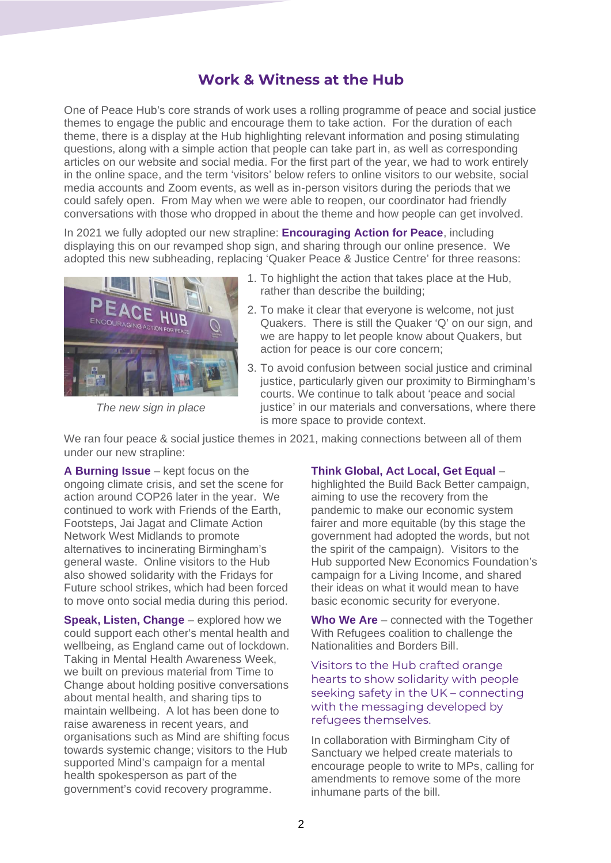# **Work & Witness at the Hub**

One of Peace Hub's core strands of work uses a rolling programme of peace and social justice themes to engage the public and encourage them to take action. For the duration of each theme, there is a display at the Hub highlighting relevant information and posing stimulating questions, along with a simple action that people can take part in, as well as corresponding articles on our website and social media. For the first part of the year, we had to work entirely in the online space, and the term 'visitors' below refers to online visitors to our website, social media accounts and Zoom events, as well as in-person visitors during the periods that we could safely open. From May when we were able to reopen, our coordinator had friendly conversations with those who dropped in about the theme and how people can get involved.

In 2021 we fully adopted our new strapline: **Encouraging Action for Peace**, including displaying this on our revamped shop sign, and sharing through our online presence. We adopted this new subheading, replacing 'Quaker Peace & Justice Centre' for three reasons:



*The new sign in place*

- 1. To highlight the action that takes place at the Hub, rather than describe the building;
- 2. To make it clear that everyone is welcome, not just Quakers. There is still the Quaker 'Q' on our sign, and we are happy to let people know about Quakers, but action for peace is our core concern;
- 3. To avoid confusion between social justice and criminal justice, particularly given our proximity to Birmingham's courts. We continue to talk about 'peace and social justice' in our materials and conversations, where there is more space to provide context.

We ran four peace & social justice themes in 2021, making connections between all of them under our new strapline:

**A Burning Issue** – kept focus on the ongoing climate crisis, and set the scene for action around COP26 later in the year. We continued to work with Friends of the Earth, Footsteps, Jai Jagat and Climate Action Network West Midlands to promote alternatives to incinerating Birmingham's general waste. Online visitors to the Hub also showed solidarity with the Fridays for Future school strikes, which had been forced to move onto social media during this period.

**Speak, Listen, Change** – explored how we could support each other's mental health and wellbeing, as England came out of lockdown. Taking in Mental Health Awareness Week, we built on previous material from Time to Change about holding positive conversations about mental health, and sharing tips to maintain wellbeing. A lot has been done to raise awareness in recent years, and organisations such as Mind are shifting focus towards systemic change; visitors to the Hub supported Mind's campaign for a mental health spokesperson as part of the government's covid recovery programme.

## **Think Global, Act Local, Get Equal** –

highlighted the Build Back Better campaign, aiming to use the recovery from the pandemic to make our economic system fairer and more equitable (by this stage the government had adopted the words, but not the spirit of the campaign). Visitors to the Hub supported New Economics Foundation's campaign for a Living Income, and shared their ideas on what it would mean to have basic economic security for everyone.

**Who We Are** – connected with the Together With Refugees coalition to challenge the Nationalities and Borders Bill.

Visitors to the Hub crafted orange hearts to show solidarity with people seeking safety in the UK – connecting with the messaging developed by refugees themselves.

In collaboration with Birmingham City of Sanctuary we helped create materials to encourage people to write to MPs, calling for amendments to remove some of the more inhumane parts of the bill.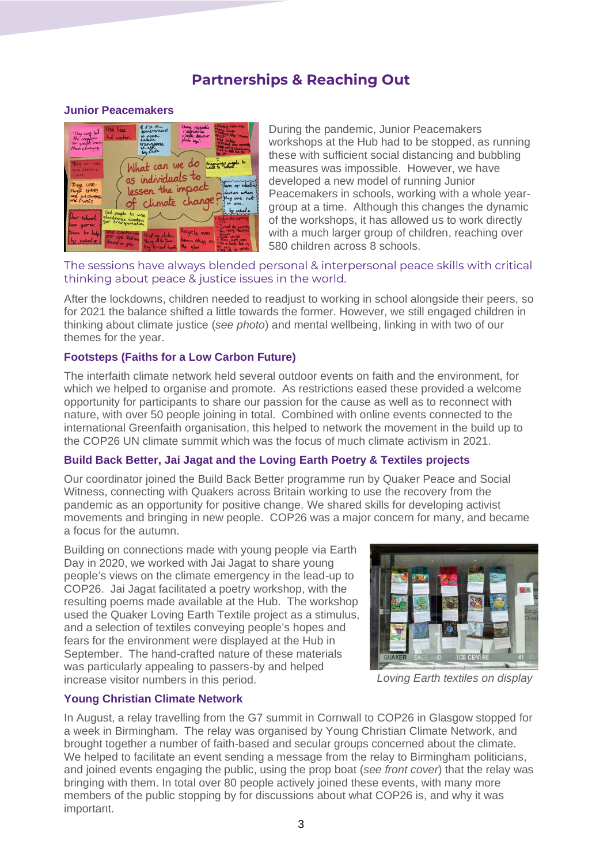# **Partnerships & Reaching Out**

## **Junior Peacemakers**



During the pandemic, Junior Peacemakers workshops at the Hub had to be stopped, as running these with sufficient social distancing and bubbling measures was impossible. However, we have developed a new model of running Junior Peacemakers in schools, working with a whole yeargroup at a time. Although this changes the dynamic of the workshops, it has allowed us to work directly with a much larger group of children, reaching over 580 children across 8 schools.

The sessions have always blended personal & interpersonal peace skills with critical thinking about peace & justice issues in the world.

After the lockdowns, children needed to readjust to working in school alongside their peers, so for 2021 the balance shifted a little towards the former. However, we still engaged children in thinking about climate justice (*see photo*) and mental wellbeing, linking in with two of our themes for the year.

### **Footsteps (Faiths for a Low Carbon Future)**

The interfaith climate network held several outdoor events on faith and the environment, for which we helped to organise and promote. As restrictions eased these provided a welcome opportunity for participants to share our passion for the cause as well as to reconnect with nature, with over 50 people joining in total. Combined with online events connected to the international Greenfaith organisation, this helped to network the movement in the build up to the COP26 UN climate summit which was the focus of much climate activism in 2021.

## **Build Back Better, Jai Jagat and the Loving Earth Poetry & Textiles projects**

Our coordinator joined the Build Back Better programme run by Quaker Peace and Social Witness, connecting with Quakers across Britain working to use the recovery from the pandemic as an opportunity for positive change. We shared skills for developing activist movements and bringing in new people. COP26 was a major concern for many, and became a focus for the autumn.

Building on connections made with young people via Earth Day in 2020, we worked with Jai Jagat to share young people's views on the climate emergency in the lead-up to COP26. Jai Jagat facilitated a poetry workshop, with the resulting poems made available at the Hub. The workshop used the Quaker Loving Earth Textile project as a stimulus, and a selection of textiles conveying people's hopes and fears for the environment were displayed at the Hub in September. The hand-crafted nature of these materials was particularly appealing to passers-by and helped increase visitor numbers in this period.



*Loving Earth textiles on display*

#### **Young Christian Climate Network**

In August, a relay travelling from the G7 summit in Cornwall to COP26 in Glasgow stopped for a week in Birmingham. The relay was organised by Young Christian Climate Network, and brought together a number of faith-based and secular groups concerned about the climate. We helped to facilitate an event sending a message from the relay to Birmingham politicians, and joined events engaging the public, using the prop boat (*see front cover*) that the relay was bringing with them. In total over 80 people actively joined these events, with many more members of the public stopping by for discussions about what COP26 is, and why it was important.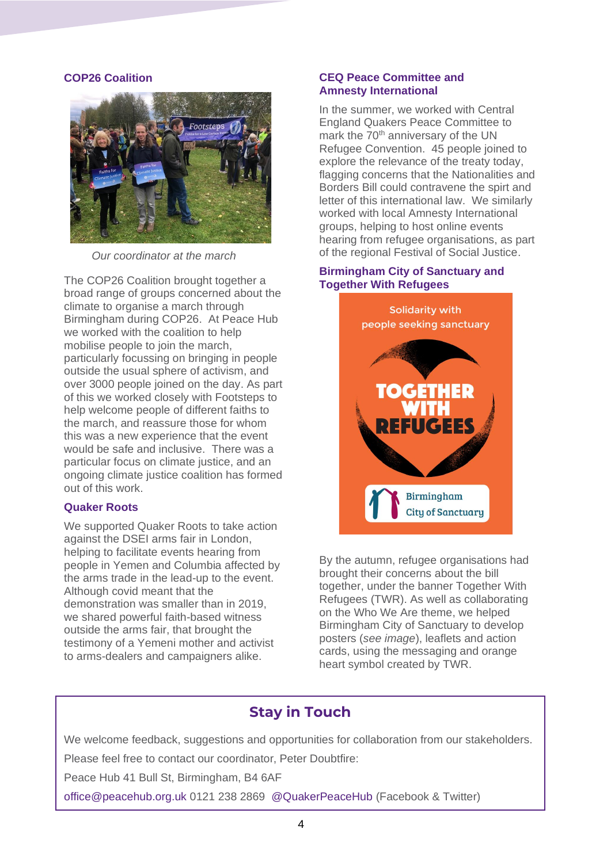#### **COP26 Coalition**



*Our coordinator at the march*

The COP26 Coalition brought together a broad range of groups concerned about the climate to organise a march through Birmingham during COP26. At Peace Hub we worked with the coalition to help mobilise people to join the march, particularly focussing on bringing in people outside the usual sphere of activism, and over 3000 people joined on the day. As part of this we worked closely with Footsteps to help welcome people of different faiths to the march, and reassure those for whom this was a new experience that the event would be safe and inclusive. There was a particular focus on climate justice, and an ongoing climate justice coalition has formed out of this work.

#### **Quaker Roots**

We supported Quaker Roots to take action against the DSEI arms fair in London, helping to facilitate events hearing from people in Yemen and Columbia affected by the arms trade in the lead-up to the event. Although covid meant that the demonstration was smaller than in 2019, we shared powerful faith-based witness outside the arms fair, that brought the testimony of a Yemeni mother and activist to arms-dealers and campaigners alike.

#### **CEQ Peace Committee and Amnesty International**

In the summer, we worked with Central England Quakers Peace Committee to mark the 70<sup>th</sup> anniversary of the UN Refugee Convention. 45 people joined to explore the relevance of the treaty today, flagging concerns that the Nationalities and Borders Bill could contravene the spirt and letter of this international law. We similarly worked with local Amnesty International groups, helping to host online events hearing from refugee organisations, as part of the regional Festival of Social Justice.

## **Birmingham City of Sanctuary and Together With Refugees**



By the autumn, refugee organisations had brought their concerns about the bill together, under the banner Together With Refugees (TWR). As well as collaborating on the Who We Are theme, we helped Birmingham City of Sanctuary to develop posters (*see image*), leaflets and action cards, using the messaging and orange heart symbol created by TWR.

# **Stay in Touch**

We welcome feedback, suggestions and opportunities for collaboration from our stakeholders. Please feel free to contact our coordinator, Peter Doubtfire:

Peace Hub 41 Bull St, Birmingham, B4 6AF

office@peacehub.org.uk 0121 238 2869 @QuakerPeaceHub (Facebook & Twitter)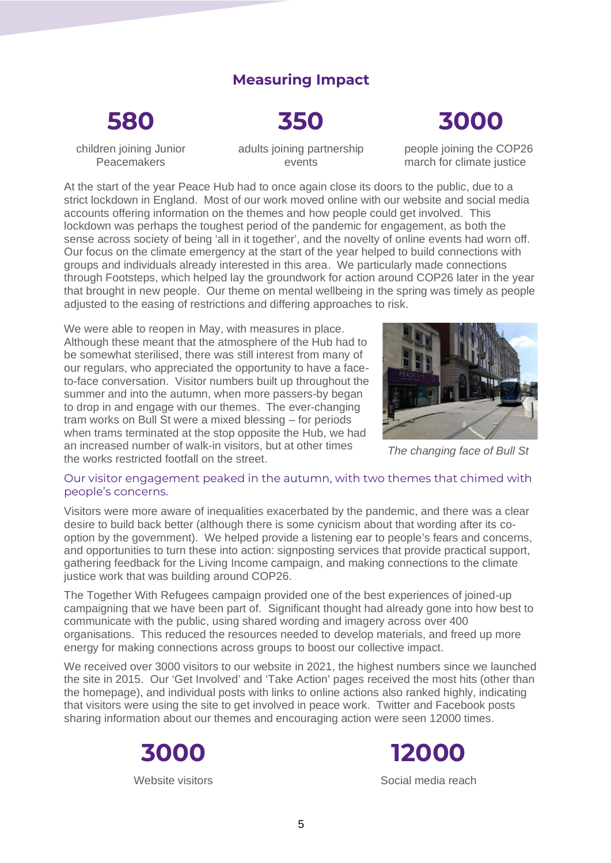# **Measuring Impact**

# **580**

**350**

# **3000**

children joining Junior Peacemakers

adults joining partnership events

people joining the COP26 march for climate justice

At the start of the year Peace Hub had to once again close its doors to the public, due to a strict lockdown in England. Most of our work moved online with our website and social media accounts offering information on the themes and how people could get involved. This lockdown was perhaps the toughest period of the pandemic for engagement, as both the sense across society of being 'all in it together', and the novelty of online events had worn off. Our focus on the climate emergency at the start of the year helped to build connections with groups and individuals already interested in this area. We particularly made connections through Footsteps, which helped lay the groundwork for action around COP26 later in the year that brought in new people. Our theme on mental wellbeing in the spring was timely as people adjusted to the easing of restrictions and differing approaches to risk.

We were able to reopen in May, with measures in place. Although these meant that the atmosphere of the Hub had to be somewhat sterilised, there was still interest from many of our regulars, who appreciated the opportunity to have a faceto-face conversation. Visitor numbers built up throughout the summer and into the autumn, when more passers-by began to drop in and engage with our themes. The ever-changing tram works on Bull St were a mixed blessing – for periods when trams terminated at the stop opposite the Hub, we had an increased number of walk-in visitors, but at other times the works restricted footfall on the street.



*The changing face of Bull St*

### Our visitor engagement peaked in the autumn, with two themes that chimed with people's concerns.

Visitors were more aware of inequalities exacerbated by the pandemic, and there was a clear desire to build back better (although there is some cynicism about that wording after its cooption by the government). We helped provide a listening ear to people's fears and concerns, and opportunities to turn these into action: signposting services that provide practical support, gathering feedback for the Living Income campaign, and making connections to the climate justice work that was building around COP26.

The Together With Refugees campaign provided one of the best experiences of joined-up campaigning that we have been part of. Significant thought had already gone into how best to communicate with the public, using shared wording and imagery across over 400 organisations. This reduced the resources needed to develop materials, and freed up more energy for making connections across groups to boost our collective impact.

We received over 3000 visitors to our website in 2021, the highest numbers since we launched the site in 2015. Our 'Get Involved' and 'Take Action' pages received the most hits (other than the homepage), and individual posts with links to online actions also ranked highly, indicating that visitors were using the site to get involved in peace work. Twitter and Facebook posts sharing information about our themes and encouraging action were seen 12000 times.





Social media reach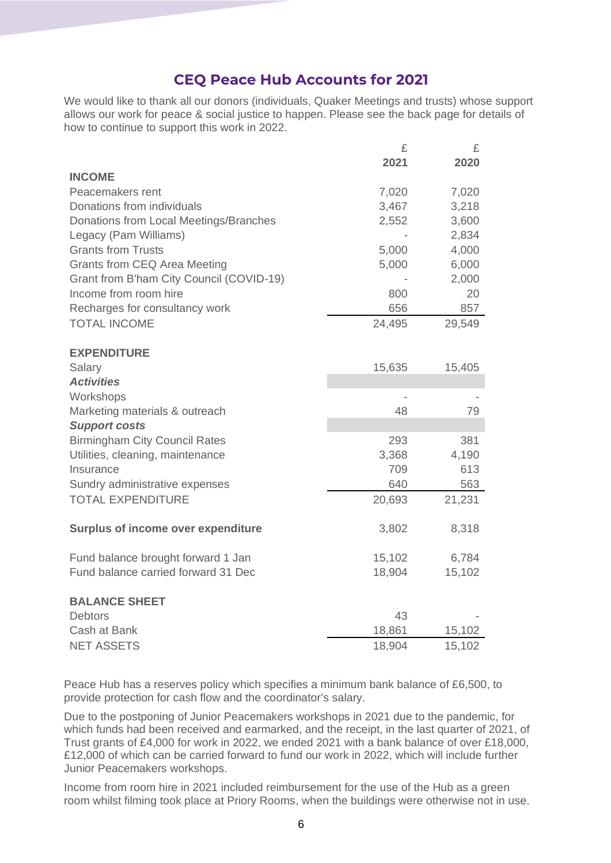# **CEQ Peace Hub Accounts for 2021**

We would like to thank all our donors (individuals, Quaker Meetings and trusts) whose support allows our work for peace & social justice to happen. Please see the back page for details of how to continue to support this work in 2022.

 $\overline{c}$   $\overline{c}$ 

|                                           | 2021   | 2020   |
|-------------------------------------------|--------|--------|
| <b>INCOME</b>                             |        |        |
| Peacemakers rent                          | 7,020  | 7,020  |
| Donations from individuals                | 3,467  | 3,218  |
| Donations from Local Meetings/Branches    | 2,552  | 3,600  |
| Legacy (Pam Williams)                     |        | 2,834  |
| <b>Grants from Trusts</b>                 | 5,000  | 4,000  |
| Grants from CEQ Area Meeting              | 5,000  | 6,000  |
| Grant from B'ham City Council (COVID-19)  |        | 2,000  |
| Income from room hire                     | 800    | 20     |
| Recharges for consultancy work            | 656    | 857    |
| <b>TOTAL INCOME</b>                       | 24,495 | 29,549 |
| <b>EXPENDITURE</b>                        |        |        |
| Salary                                    | 15,635 | 15,405 |
| <b>Activities</b>                         |        |        |
| Workshops                                 |        |        |
| Marketing materials & outreach            | 48     | 79     |
| <b>Support costs</b>                      |        |        |
| <b>Birmingham City Council Rates</b>      | 293    | 381    |
| Utilities, cleaning, maintenance          | 3,368  | 4,190  |
| Insurance                                 | 709    | 613    |
| Sundry administrative expenses            | 640    | 563    |
| <b>TOTAL EXPENDITURE</b>                  | 20,693 | 21,231 |
|                                           |        |        |
| <b>Surplus of income over expenditure</b> | 3,802  | 8,318  |
| Fund balance brought forward 1 Jan        | 15,102 | 6,784  |
| Fund balance carried forward 31 Dec       | 18,904 | 15,102 |
|                                           |        |        |
| <b>BALANCE SHEET</b><br><b>Debtors</b>    | 43     |        |
|                                           |        |        |
| Cash at Bank                              | 18,861 | 15,102 |
| <b>NET ASSETS</b>                         | 18,904 | 15,102 |

Peace Hub has a reserves policy which specifies a minimum bank balance of £6,500, to provide protection for cash flow and the coordinator's salary.

Due to the postponing of Junior Peacemakers workshops in 2021 due to the pandemic, for which funds had been received and earmarked, and the receipt, in the last quarter of 2021, of Trust grants of £4,000 for work in 2022, we ended 2021 with a bank balance of over £18,000, £12,000 of which can be carried forward to fund our work in 2022, which will include further Junior Peacemakers workshops.

Income from room hire in 2021 included reimbursement for the use of the Hub as a green room whilst filming took place at Priory Rooms, when the buildings were otherwise not in use.